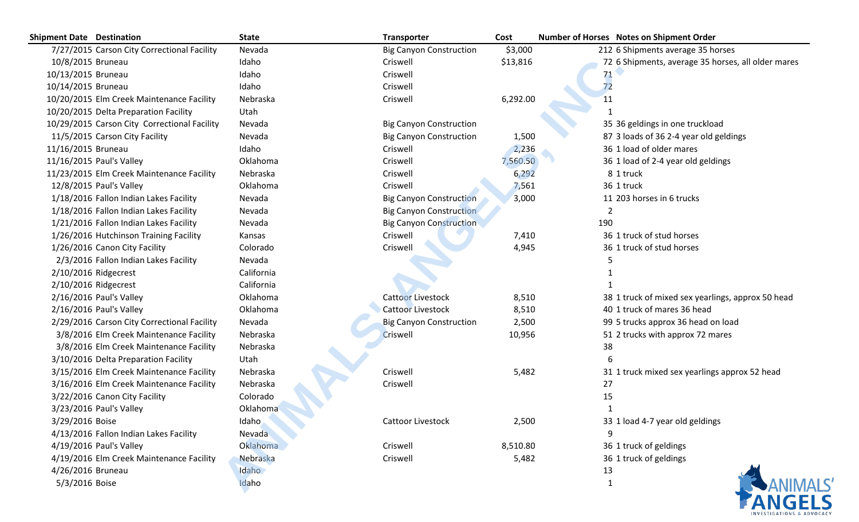| <b>Shipment Date Destination</b>             | <b>State</b> | <b>Transporter</b>             | Cost     | Number of Horses Notes on Shipment Order           |  |  |
|----------------------------------------------|--------------|--------------------------------|----------|----------------------------------------------------|--|--|
| 7/27/2015 Carson City Correctional Facility  | Nevada       | <b>Big Canyon Construction</b> | \$3,000  | 212 6 Shipments average 35 horses                  |  |  |
| 10/8/2015 Bruneau                            | Idaho        | Criswell                       | \$13,816 | 72 6 Shipments, average 35 horses, all older mares |  |  |
| 10/13/2015 Bruneau                           | Idaho        | Criswell                       |          | 71                                                 |  |  |
| 10/14/2015 Bruneau                           | Idaho        | Criswell                       |          | 72                                                 |  |  |
| 10/20/2015 Elm Creek Maintenance Facility    | Nebraska     | Criswell                       | 6,292.00 | 11                                                 |  |  |
| 10/20/2015 Delta Preparation Facility        | Utah         |                                |          |                                                    |  |  |
| 10/29/2015 Carson City Correctional Facility | Nevada       | <b>Big Canyon Construction</b> |          | 35 36 geldings in one truckload                    |  |  |
| 11/5/2015 Carson City Facility               | Nevada       | <b>Big Canyon Construction</b> | 1,500    | 87 3 loads of 36 2-4 year old geldings             |  |  |
| 11/16/2015 Bruneau                           | Idaho        | Criswell                       | 2,236    | 36 1 load of older mares                           |  |  |
| 11/16/2015 Paul's Valley                     | Oklahoma     | Criswell                       | 7,560.50 | 36 1 load of 2-4 year old geldings                 |  |  |
| 11/23/2015 Elm Creek Maintenance Facility    | Nebraska     | Criswell                       | 6,292    | 8 1 truck                                          |  |  |
| 12/8/2015 Paul's Valley                      | Oklahoma     | Criswell                       | 7,561    | 36 1 truck                                         |  |  |
| 1/18/2016 Fallon Indian Lakes Facility       | Nevada       | <b>Big Canyon Construction</b> | 3,000    | 11 203 horses in 6 trucks                          |  |  |
| 1/18/2016 Fallon Indian Lakes Facility       | Nevada       | <b>Big Canyon Construction</b> |          |                                                    |  |  |
| 1/21/2016 Fallon Indian Lakes Facility       | Nevada       | <b>Big Canyon Construction</b> |          | 190                                                |  |  |
| 1/26/2016 Hutchinson Training Facility       | Kansas       | Criswell                       | 7,410    | 36 1 truck of stud horses                          |  |  |
| 1/26/2016 Canon City Facility                | Colorado     | Criswell                       | 4,945    | 36 1 truck of stud horses                          |  |  |
| 2/3/2016 Fallon Indian Lakes Facility        | Nevada       |                                |          |                                                    |  |  |
| 2/10/2016 Ridgecrest                         | California   |                                |          |                                                    |  |  |
| 2/10/2016 Ridgecrest                         | California   |                                |          |                                                    |  |  |
| 2/16/2016 Paul's Valley                      | Oklahoma     | <b>Cattoor Livestock</b>       | 8,510    | 38 1 truck of mixed sex yearlings, approx 50 head  |  |  |
| 2/16/2016 Paul's Valley                      | Oklahoma     | <b>Cattoor Livestock</b>       | 8,510    | 40 1 truck of mares 36 head                        |  |  |
| 2/29/2016 Carson City Correctional Facility  | Nevada       | <b>Big Canyon Construction</b> | 2,500    | 99 5 trucks approx 36 head on load                 |  |  |
| 3/8/2016 Elm Creek Maintenance Facility      | Nebraska     | Criswell                       | 10,956   | 51 2 trucks with approx 72 mares                   |  |  |
| 3/8/2016 Elm Creek Maintenance Facility      | Nebraska     |                                |          | 38                                                 |  |  |
| 3/10/2016 Delta Preparation Facility         | Utah         |                                |          |                                                    |  |  |
| 3/15/2016 Elm Creek Maintenance Facility     | Nebraska     | Criswell                       | 5,482    | 31 1 truck mixed sex yearlings approx 52 head      |  |  |
| 3/16/2016 Elm Creek Maintenance Facility     | Nebraska     | Criswell                       |          | 27                                                 |  |  |
| 3/22/2016 Canon City Facility                | Colorado     |                                |          | 15                                                 |  |  |
| 3/23/2016 Paul's Valley                      | Oklahoma     |                                |          |                                                    |  |  |
| 3/29/2016 Boise                              | Idaho        | <b>Cattoor Livestock</b>       | 2,500    | 33 1 load 4-7 year old geldings                    |  |  |
| 4/13/2016 Fallon Indian Lakes Facility       | Nevada       |                                |          | 9                                                  |  |  |
| 4/19/2016 Paul's Valley                      | Oklahoma     | Criswell                       | 8,510.80 | 36 1 truck of geldings                             |  |  |
| 4/19/2016 Elm Creek Maintenance Facility     | Nebraska     | Criswell                       | 5,482    | 36 1 truck of geldings                             |  |  |
| 4/26/2016 Bruneau                            | Idaho        |                                |          | 13                                                 |  |  |
| 5/3/2016 Boise                               | Idaho        |                                |          | 1                                                  |  |  |
|                                              |              |                                |          |                                                    |  |  |
|                                              |              |                                |          |                                                    |  |  |